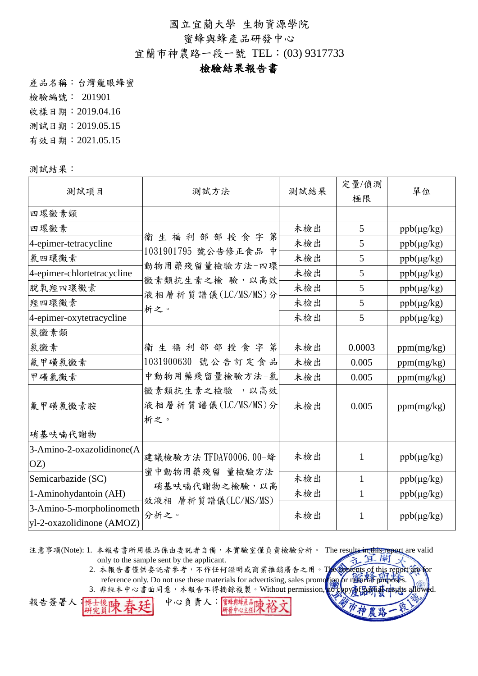蜜蜂與蜂產品研發中心

宜蘭市神農路一段一號 TEL:(03) 9317733

# 檢驗結果報告書

產品名稱:台灣龍眼蜂蜜

檢驗編號: 201901

收樣日期:2019.04.16

測試日期:2019.05.15

有效日期:2021.05.15

測試結果:

| 測試項目                                                  | 測試方法                                       | 測試結果 | 定量/偵測<br>極限  | 單位              |
|-------------------------------------------------------|--------------------------------------------|------|--------------|-----------------|
| 四環黴素類                                                 |                                            |      |              |                 |
| 四環黴素                                                  |                                            | 未檢出  | 5            | $ppb(\mu g/kg)$ |
| 4-epimer-tetracycline                                 | 衛生福利部部授食字第                                 | 未檢出  | 5            | ppb(µg/kg)      |
| 氯四環黴素                                                 | 1031901795 號公告修正食品 中<br>動物用藥殘留量檢驗方法-四環     | 未檢出  | 5            | $ppb(\mu g/kg)$ |
| 4-epimer-chlortetracycline                            | 黴素類抗生素之檢 驗,以高效                             | 未檢出  | 5            | $ppb(\mu g/kg)$ |
| 脫氧羥四環黴素                                               | 液相層析質譜儀(LC/MS/MS)分                         | 未檢出  | 5            | $ppb(\mu g/kg)$ |
| 羥四環黴素                                                 | 析之。                                        | 未檢出  | 5            | $ppb(\mu g/kg)$ |
| 4-epimer-oxytetracycline                              |                                            | 未檢出  | 5            | $ppb(\mu g/kg)$ |
| 氯黴素類                                                  |                                            |      |              |                 |
| 氯黴素                                                   | 衛生福利部部授食字第                                 | 未檢出  | 0.0003       | ppm(mg/kg)      |
| 氟甲磺氯黴素                                                | 1031900630 號公告訂定食品                         | 未檢出  | 0.005        | ppm(mg/kg)      |
| 甲磺氯黴素                                                 | 中動物用藥殘留量檢驗方法-氯                             | 未檢出  | 0.005        | ppm(mg/kg)      |
| 氟甲磺氯黴素胺                                               | 黴素類抗生素之檢驗,以高效<br>液相層析質譜儀(LC/MS/MS)分<br>析之。 | 未檢出  | 0.005        | ppm(mg/kg)      |
| 硝基呋喃代謝物                                               |                                            |      |              |                 |
| 3-Amino-2-oxazolidinone(A<br>OZ                       | 建議檢驗方法 TFDAV0006.00-蜂                      | 未檢出  | 1            | $ppb(\mu g/kg)$ |
| Semicarbazide (SC)                                    | 蜜中動物用藥殘留 量檢驗方法<br>一硝基呋喃代謝物之檢驗,以高           | 未檢出  | $\mathbf{1}$ | $ppb(\mu g/kg)$ |
| 1-Aminohydantoin (AH)                                 | 效液相 層析質譜儀(LC/MS/MS)                        | 未檢出  | 1            | $ppb(\mu g/kg)$ |
| 3-Amino-5-morpholinometh<br>yl-2-oxazolidinone (AMOZ) | 分析之。                                       | 未檢出  | 1            | $ppb(\mu g/kg)$ |

注意事項(Note): 1. 本報告書所用樣品係由委託者自備,本實驗室僅負責檢驗分析。 The resultein this report are valid only to the sample sent by the applicant.

> 2. 本報告書僅供委託者參考,不作任何證明或商業推銷廣告之用。The contents of this report are for reference only. Do not use these materials for advertising, sales promotion for notarial purpose.

3. 非經本中心書面同意,本報告不得摘錄複製。Without permission, no copy高田研磨mesults allowed.

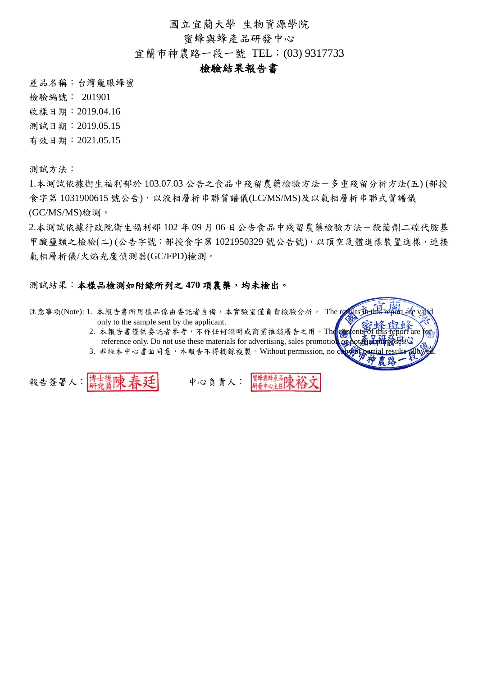蜜蜂與蜂產品研發中心

宜蘭市神農路一段一號 TEL:(03) 9317733

#### 檢驗結果報告書

產品名稱:台灣龍眼蜂蜜

檢驗編號: 201901

收樣日期:2019.04.16

測試日期:2019.05.15

有效日期:2021.05.15

測試方法:

1.本測試依據衛生福利部於 103.07.03 公告之食品中殘留農藥檢驗方法-多重殘留分析方法(五) (部授 食字第 1031900615 號公告),以液相層析串聯質譜儀(LC/MS/MS)及以氣相層析串聯式質譜儀 (GC/MS/MS)檢測。

2.本測試依據行政院衛生福利部 102 年 09 月 06 日公告食品中殘留農藥檢驗方法一殺菌劑二硫代胺基 甲酸鹽類之檢驗(二) (公告字號:部授食字第 1021950329 號公告號),以頂空氣體進樣裝置進樣,連接 氣相層析儀/火焰光度偵測器(GC/FPD)檢測。

#### 測試結果:本樣品檢測如附錄所列之 **470** 項農藥,均未檢出。

注意事項(Note): 1. 本報告書所用樣品係由委託者自備,本實驗室僅負責檢驗分析。 The r only to the sample sent by the applicant.

> 2. 本報告書僅供委託者參考,不作任何證明或商業推銷廣告之用。The contents of this report are reference only. Do not use these materials for advertising, sales promotion or

3. 非經本中心書面同意,本報告不得摘錄複製。Without permission, no  $\mathbf c$ 

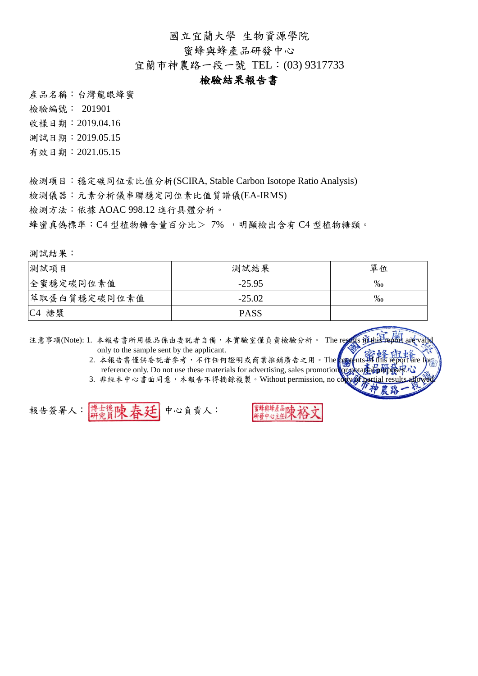蜜蜂與蜂產品研發中心

宜蘭市神農路一段一號 TEL:(03) 9317733

#### 檢驗結果報告書

產品名稱:台灣龍眼蜂蜜

檢驗編號: 201901

收樣日期:2019.04.16

測試日期:2019.05.15

有效日期:2021.05.15

檢測項目:穩定碳同位素比值分析(SCIRA, Stable Carbon Isotope Ratio Analysis)

檢測儀器:元素分析儀串聯穩定同位素比值質譜儀(EA-IRMS)

檢測方法:依據 AOAC 998.12 進行具體分析。

蜂蜜真偽標準:C4 型植物糖含量百分比> 7%, 明顯檢出含有 C4 型植物糖類。

測試結果:

| 測試項目                 | 測試結果        | 單位                |
|----------------------|-------------|-------------------|
| 全蜜穩定碳同位素值            | $-25.95$    | $\%$ <sub>0</sub> |
| 萃取蛋白質穩定碳同位素值         | $-25.02$    | $\%$ o            |
| 糖漿<br>C <sub>4</sub> | <b>PASS</b> |                   |

注意事項(Note): 1. 本報告書所用樣品係由委託者自備,本實驗室僅負責檢驗分析。 The results inte only to the sample sent by the applicant.

- 2. 本報告書僅供委託者參考,不作任何證明或商業推銷廣告之用。The content reference only. Do not use these materials for advertising, sales promotion or
- 3. 非經本中心書面同意,本報告不得摘錄複製。Without permission, no co

報告簽署人: 博士後陳 春廷 中心負責人: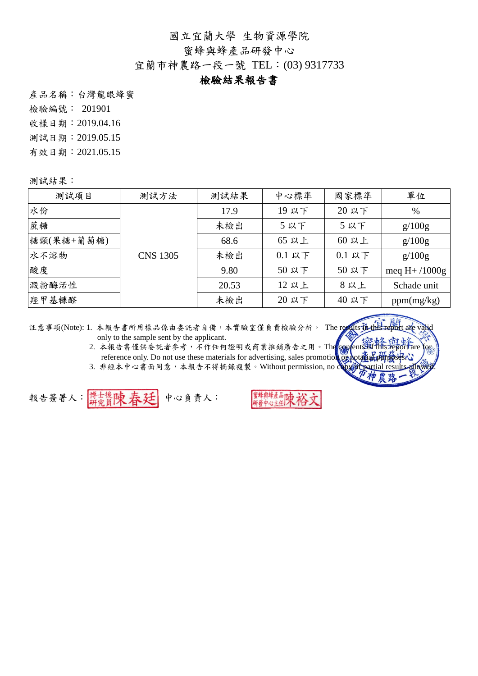蜜蜂與蜂產品研發中心

宜蘭市神農路一段一號 TEL:(03) 9317733

### 檢驗結果報告書

產品名稱:台灣龍眼蜂蜜

檢驗編號: 201901

收樣日期:2019.04.16

測試日期:2019.05.15

有效日期:2021.05.15

測試結果:

| 測試項目       | 測試方法            | 測試結果  | 中心標準                             | 國家標準     | 單位              |
|------------|-----------------|-------|----------------------------------|----------|-----------------|
| 水份         |                 | 17.9  | 19 以下                            | 20 以下    | $\%$            |
| 蔗糖         |                 | 未檢出   | 5以下                              | 5以下      | g/100g          |
| 糖類(果糖+葡萄糖) |                 | 68.6  | 65 以上                            | 60 以上    | g/100g          |
| 水不溶物       | <b>CNS 1305</b> | 未檢出   | $0.1 \,\mathrm{\upmu}\mathrm{T}$ | $0.1$ 以下 | g/100g          |
| 酸度         |                 | 9.80  | 50 以下                            | 50 以下    | meq $H+ /1000g$ |
| 澱粉酶活性      |                 | 20.53 | 12 以上                            | 8以上      | Schade unit     |
| 羥甲基糠醛      |                 | 未檢出   | 20 以下                            | 40 以下    | ppm(mg/kg)      |

注意事項(Note): 1. 本報告書所用樣品係由委託者自備,本實驗室僅負責檢驗分析。 The results in only to the sample sent by the applicant.

2. 本報告書僅供委託者參考,不作任何證明或商業推銷廣告之用。The confention this report are for reference only. Do not use these materials for advertising, sales promotion or

3. 非經本中心書面同意,本報告不得摘錄複製。Without permission, no c

報告簽署人: 博士後陳 春廷 中心負責人:

蜂虫蜂产品 中心主任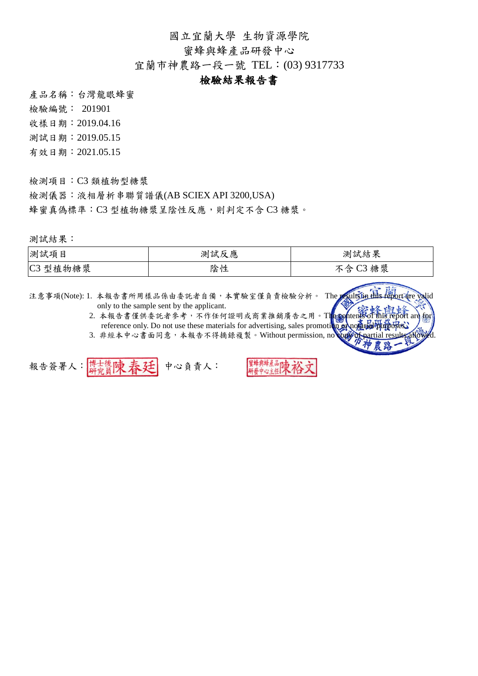蜜蜂與蜂產品研發中心

宜蘭市神農路一段一號 TEL:(03) 9317733

#### 檢驗結果報告書

產品名稱:台灣龍眼蜂蜜

檢驗編號: 201901

收樣日期:2019.04.16

測試日期:2019.05.15

有效日期:2021.05.15

檢測項目:C3 類植物型糖漿

檢測儀器:液相層析串聯質譜儀(AB SCIEX API 3200,USA) 蜂蜜真偽標準: C3 型植物糖漿呈陰性反應,則判定不含 C3 糖漿。

測試結果:

| 測試項目                    | 測試反應 | 測試結果                        |
|-------------------------|------|-----------------------------|
| 型植物糖漿<br>C <sub>3</sub> | 陰性   | 糖漿<br>$\sim$<br>今<br>Ó<br>ັ |

注意事項(Note): 1. 本報告書所用樣品係由委託者自備,本實驗室僅負責檢驗分析。 The resultsiin this report are valid only to the sample sent by the applicant. 2. 本報告書僅供委託者參考,不作任何證明或商業推銷廣告之用。The contents of this report are for reference only. Do not use these materials for advertising, sales promotion 3. 非經本中心書面同意,本報告不得摘錄複製。Without permission, no

報告簽署人: 博士後陳春廷 中心負責人: